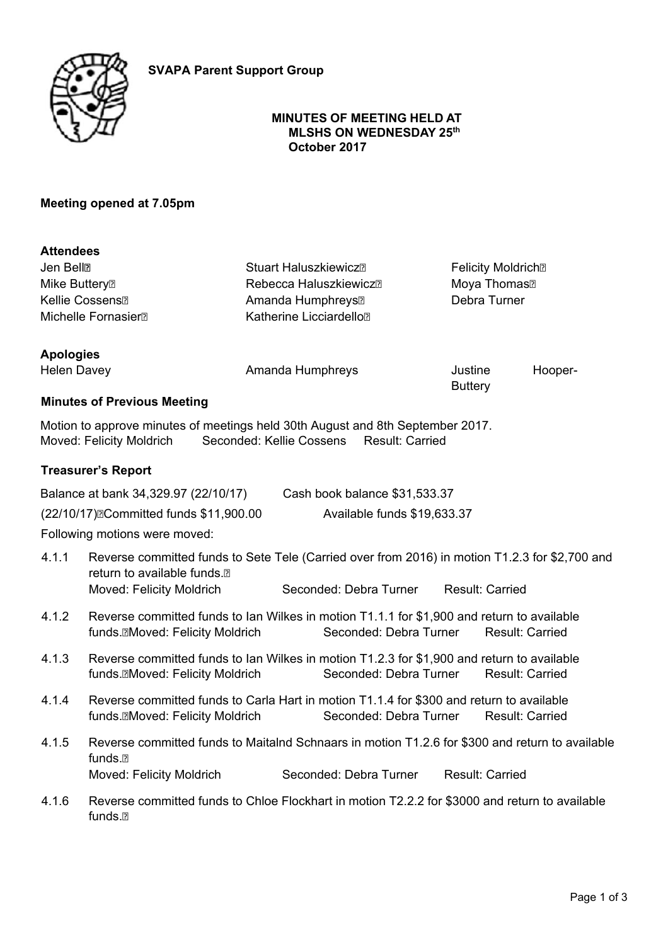



### **MINUTES OF MEETING HELD AT MLSHS ON WEDNESDAY 25th October 2017**

**Buttery** 

## **Meeting opened at 7.05pm**

| <b>Attendees</b>                |                                                                     |                                       |         |  |
|---------------------------------|---------------------------------------------------------------------|---------------------------------------|---------|--|
| Jen Bell <sup>n</sup>           | <b>Stuart Haluszkiewicz</b> <sub>n</sub>                            | <b>Felicity Moldrich</b> <sup>®</sup> |         |  |
| Mike Buttery?                   | Rebecca Haluszkiewicz <sup>n</sup><br>Amanda Humphreys <sup>®</sup> | Moya Thomas <sup>?</sup>              |         |  |
| Kellie Cossens <sup>®</sup>     |                                                                     | Debra Turner                          |         |  |
| Michelle Fornasier <sup>®</sup> | Katherine Licciardello <sup>®</sup>                                 |                                       |         |  |
| <b>Apologies</b>                |                                                                     |                                       |         |  |
| <b>Helen Davey</b>              | Amanda Humphreys                                                    | Justine                               | Hooper- |  |

## **Minutes of Previous Meeting**

Motion to approve minutes of meetings held 30th August and 8th September 2017. Moved: Felicity Moldrich Seconded: Kellie Cossens Result: Carried

## **Treasurer's Report**

| Balance at bank 34,329.97 (22/10/17)                | Cash book balance \$31,533.37 |
|-----------------------------------------------------|-------------------------------|
| (22/10/17) <sup>[</sup> Committed funds \$11,900.00 | Available funds \$19,633.37   |

Following motions were moved:

- 4.1.1 Reverse committed funds to Sete Tele (Carried over from 2016) in motion T1.2.3 for \$2,700 and return to available funds. Moved: Felicity Moldrich Seconded: Debra Turner Result: Carried
- 4.1.2 Reverse committed funds to Ian Wilkes in motion T1.1.1 for \$1,900 and return to available funds.<sup>Moved:</sup> Felicity Moldrich Seconded: Debra Turner Result: Carried
- 4.1.3 Reverse committed funds to Ian Wilkes in motion T1.2.3 for \$1,900 and return to available funds.Moved: Felicity Moldrich Seconded: Debra Turner Result: Carried
- 4.1.4 Reverse committed funds to Carla Hart in motion T1.1.4 for \$300 and return to available funds.Moved: Felicity Moldrich Seconded: Debra Turner Result: Carried
- 4.1.5 Reverse committed funds to Maitalnd Schnaars in motion T1.2.6 for \$300 and return to available funds. Moved: Felicity Moldrich Seconded: Debra Turner Result: Carried
- 4.1.6 Reverse committed funds to Chloe Flockhart in motion T2.2.2 for \$3000 and return to available funds.<sub>2</sub>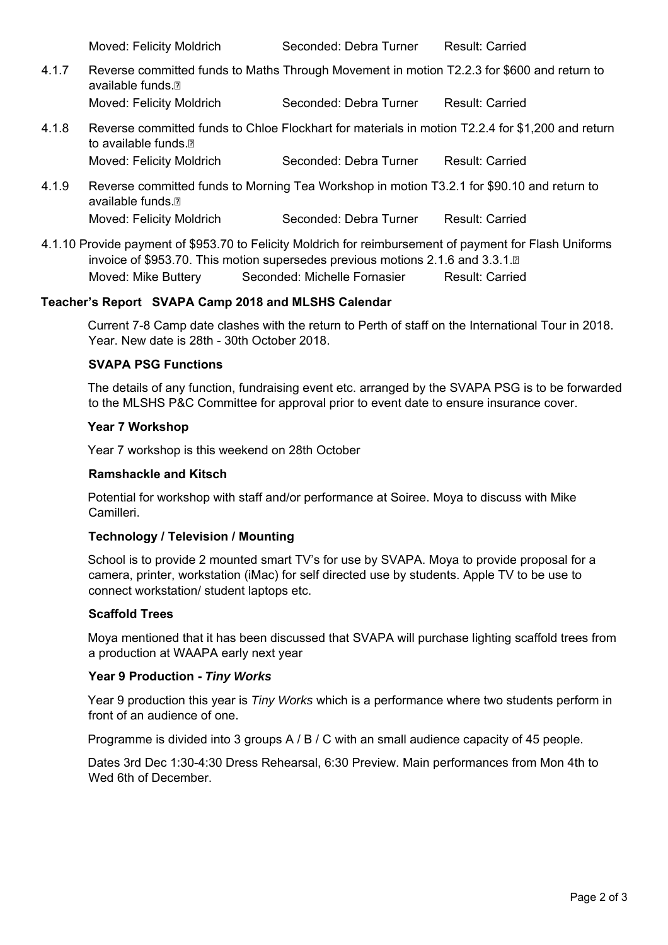Moved: Felicity Moldrich Seconded: Debra Turner Result: Carried

- 4.1.7 Reverse committed funds to Maths Through Movement in motion T2.2.3 for \$600 and return to available funds ? Moved: Felicity Moldrich Seconded: Debra Turner Result: Carried
- 4.1.8 Reverse committed funds to Chloe Flockhart for materials in motion T2.2.4 for \$1,200 and return to available funds. Moved: Felicity Moldrich Seconded: Debra Turner Result: Carried
- 4.1.9 Reverse committed funds to Morning Tea Workshop in motion T3.2.1 for \$90.10 and return to available funds.<sup>[9]</sup> Moved: Felicity Moldrich Seconded: Debra Turner Result: Carried
- 4.1.10 Provide payment of \$953.70 to Felicity Moldrich for reimbursement of payment for Flash Uniforms invoice of \$953.70. This motion supersedes previous motions 2.1.6 and 3.3.1.<sup>®</sup> Moved: Mike Buttery Seconded: Michelle Fornasier Result: Carried

### **Teacher's Report SVAPA Camp 2018 and MLSHS Calendar**

Current 7-8 Camp date clashes with the return to Perth of staff on the International Tour in 2018. Year. New date is 28th - 30th October 2018.

## **SVAPA PSG Functions**

The details of any function, fundraising event etc. arranged by the SVAPA PSG is to be forwarded to the MLSHS P&C Committee for approval prior to event date to ensure insurance cover.

#### **Year 7 Workshop**

Year 7 workshop is this weekend on 28th October

#### **Ramshackle and Kitsch**

Potential for workshop with staff and/or performance at Soiree. Moya to discuss with Mike Camilleri.

## **Technology / Television / Mounting**

School is to provide 2 mounted smart TV's for use by SVAPA. Moya to provide proposal for a camera, printer, workstation (iMac) for self directed use by students. Apple TV to be use to connect workstation/ student laptops etc.

#### **Scaffold Trees**

Moya mentioned that it has been discussed that SVAPA will purchase lighting scaffold trees from a production at WAAPA early next year

#### **Year 9 Production -** *Tiny Works*

Year 9 production this year is *Tiny Works* which is a performance where two students perform in front of an audience of one.

Programme is divided into 3 groups A / B / C with an small audience capacity of 45 people.

Dates 3rd Dec 1:30-4:30 Dress Rehearsal, 6:30 Preview. Main performances from Mon 4th to Wed 6th of December.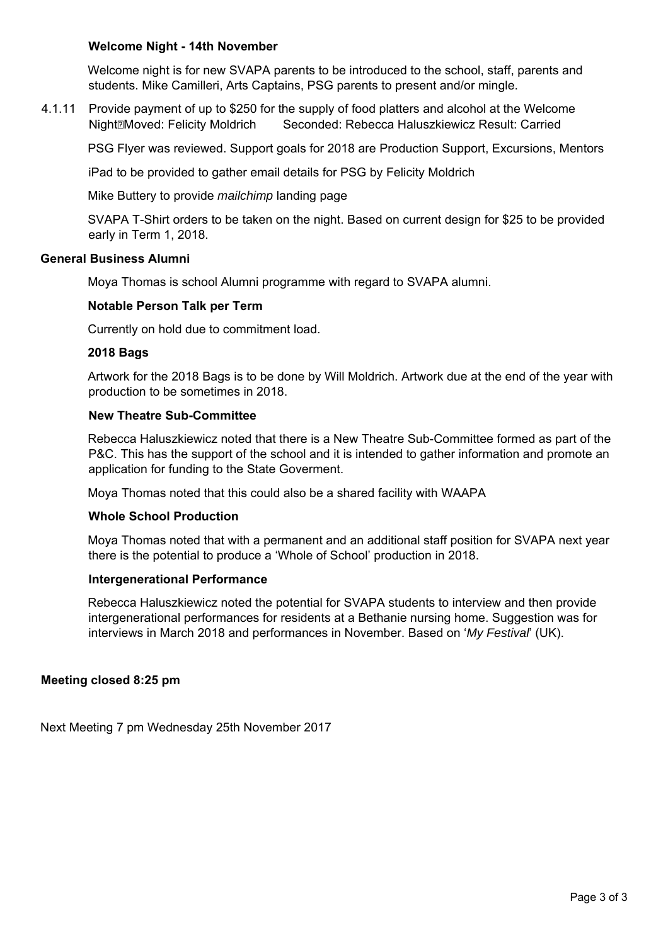### **Welcome Night - 14th November**

Welcome night is for new SVAPA parents to be introduced to the school, staff, parents and students. Mike Camilleri, Arts Captains, PSG parents to present and/or mingle.

4.1.11 Provide payment of up to \$250 for the supply of food platters and alcohol at the Welcome NightMoved: Felicity Moldrich Seconded: Rebecca Haluszkiewicz Result: Carried

PSG Flyer was reviewed. Support goals for 2018 are Production Support, Excursions, Mentors

iPad to be provided to gather email details for PSG by Felicity Moldrich

Mike Buttery to provide *mailchimp* landing page

SVAPA T-Shirt orders to be taken on the night. Based on current design for \$25 to be provided early in Term 1, 2018.

### **General Business Alumni**

Moya Thomas is school Alumni programme with regard to SVAPA alumni.

### **Notable Person Talk per Term**

Currently on hold due to commitment load.

#### **2018 Bags**

Artwork for the 2018 Bags is to be done by Will Moldrich. Artwork due at the end of the year with production to be sometimes in 2018.

#### **New Theatre Sub-Committee**

Rebecca Haluszkiewicz noted that there is a New Theatre Sub-Committee formed as part of the P&C. This has the support of the school and it is intended to gather information and promote an application for funding to the State Goverment.

Moya Thomas noted that this could also be a shared facility with WAAPA

#### **Whole School Production**

Moya Thomas noted that with a permanent and an additional staff position for SVAPA next year there is the potential to produce a 'Whole of School' production in 2018.

#### **Intergenerational Performance**

Rebecca Haluszkiewicz noted the potential for SVAPA students to interview and then provide intergenerational performances for residents at a Bethanie nursing home. Suggestion was for interviews in March 2018 and performances in November. Based on '*My Festival*' (UK).

## **Meeting closed 8:25 pm**

Next Meeting 7 pm Wednesday 25th November 2017